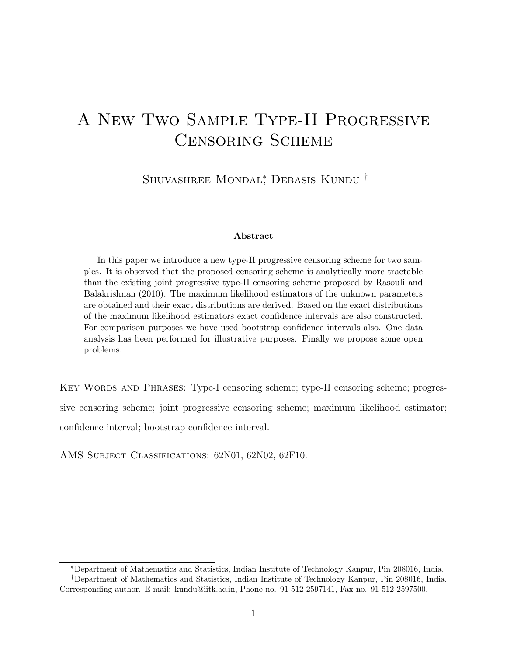# A New Two Sample Type-II Progressive Censoring Scheme

Shuvashree Mondal<sup>∗</sup> , Debasis Kundu †

#### Abstract

In this paper we introduce a new type-II progressive censoring scheme for two samples. It is observed that the proposed censoring scheme is analytically more tractable than the existing joint progressive type-II censoring scheme proposed by Rasouli and Balakrishnan (2010). The maximum likelihood estimators of the unknown parameters are obtained and their exact distributions are derived. Based on the exact distributions of the maximum likelihood estimators exact confidence intervals are also constructed. For comparison purposes we have used bootstrap confidence intervals also. One data analysis has been performed for illustrative purposes. Finally we propose some open problems.

Key Words and Phrases: Type-I censoring scheme; type-II censoring scheme; progressive censoring scheme; joint progressive censoring scheme; maximum likelihood estimator; confidence interval; bootstrap confidence interval.

AMS Subject Classifications: 62N01, 62N02, 62F10.

<sup>∗</sup>Department of Mathematics and Statistics, Indian Institute of Technology Kanpur, Pin 208016, India. †Department of Mathematics and Statistics, Indian Institute of Technology Kanpur, Pin 208016, India. Corresponding author. E-mail: kundu@iitk.ac.in, Phone no. 91-512-2597141, Fax no. 91-512-2597500.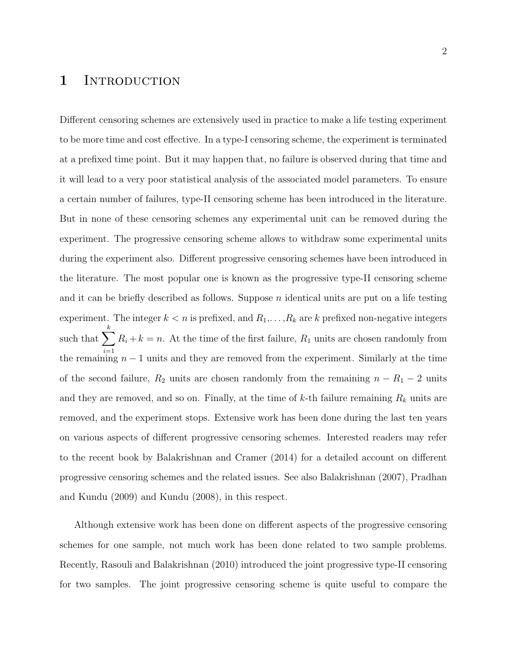## 1 INTRODUCTION

Different censoring schemes are extensively used in practice to make a life testing experiment to be more time and cost effective. In a type-I censoring scheme, the experiment is terminated at a prefixed time point. But it may happen that, no failure is observed during that time and it will lead to a very poor statistical analysis of the associated model parameters. To ensure a certain number of failures, type-II censoring scheme has been introduced in the literature. But in none of these censoring schemes any experimental unit can be removed during the experiment. The progressive censoring scheme allows to withdraw some experimental units during the experiment also. Different progressive censoring schemes have been introduced in the literature. The most popular one is known as the progressive type-II censoring scheme and it can be briefly described as follows. Suppose  $n$  identical units are put on a life testing experiment. The integer  $k < n$  is prefixed, and  $R_1, \ldots, R_k$  are k prefixed non-negative integers such that  $\sum R_i + k = n$ . At the time of the first failure,  $R_1$  units are chosen randomly from k the remaining  $n-1$  units and they are removed from the experiment. Similarly at the time of the second failure,  $R_2$  units are chosen randomly from the remaining  $n - R_1 - 2$  units and they are removed, and so on. Finally, at the time of  $k$ -th failure remaining  $R_k$  units are removed, and the experiment stops. Extensive work has been done during the last ten years on various aspects of different progressive censoring schemes. Interested readers may refer to the recent book by Balakrishnan and Cramer (2014) for a detailed account on different progressive censoring schemes and the related issues. See also Balakrishnan (2007), Pradhan and Kundu (2009) and Kundu (2008), in this respect.

Although extensive work has been done on different aspects of the progressive censoring schemes for one sample, not much work has been done related to two sample problems. Recently, Rasouli and Balakrishnan (2010) introduced the joint progressive type-II censoring for two samples. The joint progressive censoring scheme is quite useful to compare the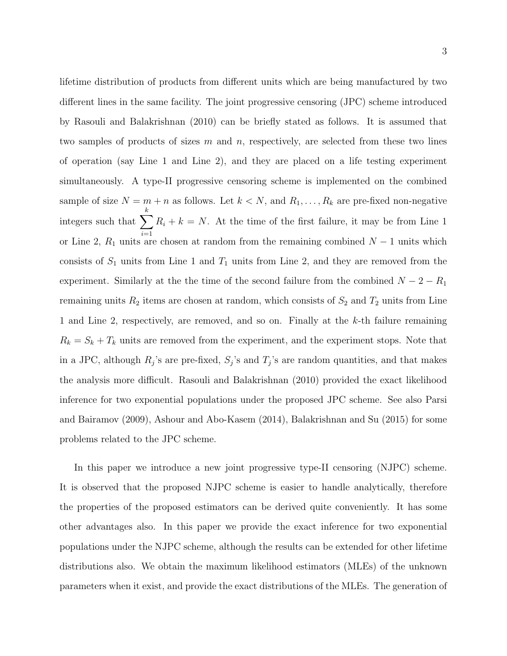3

lifetime distribution of products from different units which are being manufactured by two different lines in the same facility. The joint progressive censoring (JPC) scheme introduced by Rasouli and Balakrishnan (2010) can be briefly stated as follows. It is assumed that two samples of products of sizes m and n, respectively, are selected from these two lines of operation (say Line 1 and Line 2), and they are placed on a life testing experiment simultaneously. A type-II progressive censoring scheme is implemented on the combined sample of size  $N = m + n$  as follows. Let  $k < N$ , and  $R_1, \ldots, R_k$  are pre-fixed non-negative integers such that  $\sum$ k  $i=1$  $R_i + k = N$ . At the time of the first failure, it may be from Line 1 or Line 2,  $R_1$  units are chosen at random from the remaining combined  $N-1$  units which consists of  $S_1$  units from Line 1 and  $T_1$  units from Line 2, and they are removed from the experiment. Similarly at the time of the second failure from the combined  $N - 2 - R_1$ remaining units  $R_2$  items are chosen at random, which consists of  $S_2$  and  $T_2$  units from Line 1 and Line 2, respectively, are removed, and so on. Finally at the k-th failure remaining  $R_k = S_k + T_k$  units are removed from the experiment, and the experiment stops. Note that in a JPC, although  $R_j$ 's are pre-fixed,  $S_j$ 's and  $T_j$ 's are random quantities, and that makes the analysis more difficult. Rasouli and Balakrishnan (2010) provided the exact likelihood inference for two exponential populations under the proposed JPC scheme. See also Parsi and Bairamov (2009), Ashour and Abo-Kasem (2014), Balakrishnan and Su (2015) for some problems related to the JPC scheme.

In this paper we introduce a new joint progressive type-II censoring (NJPC) scheme. It is observed that the proposed NJPC scheme is easier to handle analytically, therefore the properties of the proposed estimators can be derived quite conveniently. It has some other advantages also. In this paper we provide the exact inference for two exponential populations under the NJPC scheme, although the results can be extended for other lifetime distributions also. We obtain the maximum likelihood estimators (MLEs) of the unknown parameters when it exist, and provide the exact distributions of the MLEs. The generation of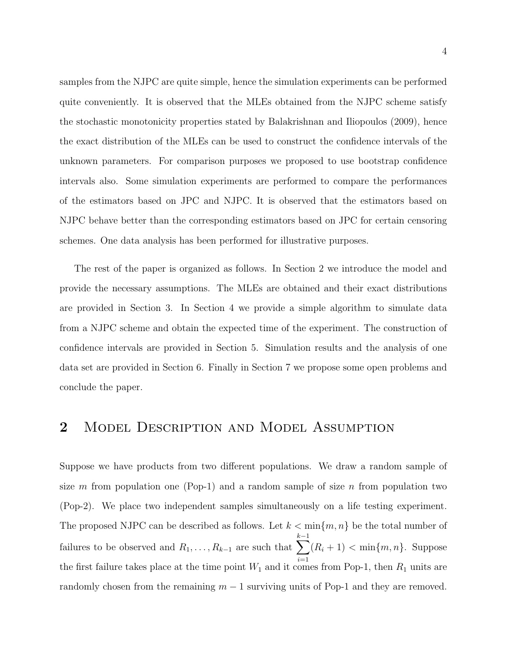samples from the NJPC are quite simple, hence the simulation experiments can be performed quite conveniently. It is observed that the MLEs obtained from the NJPC scheme satisfy the stochastic monotonicity properties stated by Balakrishnan and Iliopoulos (2009), hence the exact distribution of the MLEs can be used to construct the confidence intervals of the unknown parameters. For comparison purposes we proposed to use bootstrap confidence intervals also. Some simulation experiments are performed to compare the performances of the estimators based on JPC and NJPC. It is observed that the estimators based on NJPC behave better than the corresponding estimators based on JPC for certain censoring schemes. One data analysis has been performed for illustrative purposes.

The rest of the paper is organized as follows. In Section 2 we introduce the model and provide the necessary assumptions. The MLEs are obtained and their exact distributions are provided in Section 3. In Section 4 we provide a simple algorithm to simulate data from a NJPC scheme and obtain the expected time of the experiment. The construction of confidence intervals are provided in Section 5. Simulation results and the analysis of one data set are provided in Section 6. Finally in Section 7 we propose some open problems and conclude the paper.

## 2 MODEL DESCRIPTION AND MODEL ASSUMPTION

Suppose we have products from two different populations. We draw a random sample of size m from population one (Pop-1) and a random sample of size n from population two (Pop-2). We place two independent samples simultaneously on a life testing experiment. The proposed NJPC can be described as follows. Let  $k < \min\{m, n\}$  be the total number of failures to be observed and  $R_1, \ldots, R_{k-1}$  are such that  $\sum$  $k-1$  $i=1$  $(R_i + 1) < \min\{m, n\}$ . Suppose the first failure takes place at the time point  $W_1$  and it comes from Pop-1, then  $R_1$  units are randomly chosen from the remaining  $m-1$  surviving units of Pop-1 and they are removed.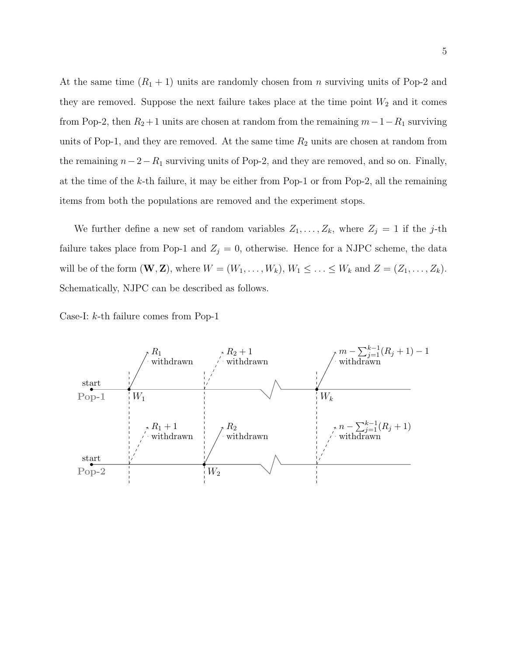At the same time  $(R_1 + 1)$  units are randomly chosen from *n* surviving units of Pop-2 and they are removed. Suppose the next failure takes place at the time point  $W_2$  and it comes from Pop-2, then  $R_2+1$  units are chosen at random from the remaining  $m-1-R_1$  surviving units of Pop-1, and they are removed. At the same time  $R_2$  units are chosen at random from the remaining  $n-2-R_1$  surviving units of Pop-2, and they are removed, and so on. Finally, at the time of the k-th failure, it may be either from Pop-1 or from Pop-2, all the remaining items from both the populations are removed and the experiment stops.

We further define a new set of random variables  $Z_1, \ldots, Z_k$ , where  $Z_j = 1$  if the j-th failure takes place from Pop-1 and  $Z_j = 0$ , otherwise. Hence for a NJPC scheme, the data will be of the form  $(\mathbf{W}, \mathbf{Z})$ , where  $W = (W_1, \ldots, W_k)$ ,  $W_1 \leq \ldots \leq W_k$  and  $Z = (Z_1, \ldots, Z_k)$ . Schematically, NJPC can be described as follows.

Case-I: k-th failure comes from Pop-1

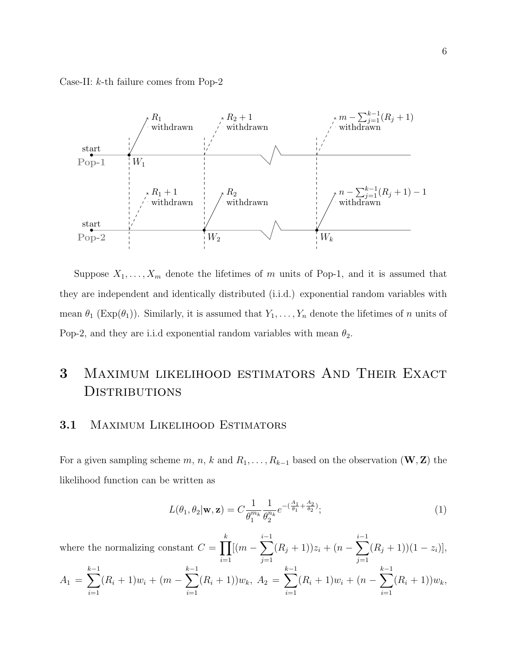Case-II: k-th failure comes from Pop-2



Suppose  $X_1, \ldots, X_m$  denote the lifetimes of m units of Pop-1, and it is assumed that they are independent and identically distributed (i.i.d.) exponential random variables with mean  $\theta_1$  (Exp( $\theta_1$ )). Similarly, it is assumed that  $Y_1, \ldots, Y_n$  denote the lifetimes of n units of Pop-2, and they are i.i.d exponential random variables with mean  $\theta_2$ .

# 3 Maximum likelihood estimators And Their Exact **DISTRIBUTIONS**

#### 3.1 Maximum Likelihood Estimators

For a given sampling scheme  $m, n, k$  and  $R_1, \ldots, R_{k-1}$  based on the observation  $(\mathbf{W}, \mathbf{Z})$  the likelihood function can be written as

$$
L(\theta_1, \theta_2 | \mathbf{w}, \mathbf{z}) = C \frac{1}{\theta_1^{m_k}} \frac{1}{\theta_2^{n_k}} e^{-\left(\frac{A_1}{\theta_1} + \frac{A_2}{\theta_2}\right)};
$$
\n(1)

where the normalizing constant  $C = \prod$ k  $i=1$  $[(m-\sum$ i−1  $j=1$  $(R_j + 1))z_i + (n - \sum$ i−1  $j=1$  $(R_j + 1)(1 - z_i)],$  $A_1 = \sum$  $k-1$  $i=1$  $(R_i + 1)w_i + (m - \sum)$  $k-1$  $i=1$  $(R_i + 1) w_k, A_2 = \sum$  $k-1$  $i=1$  $(R_i + 1)w_i + (n - \sum)$  $k-1$  $i=1$  $(R_i + 1)w_k,$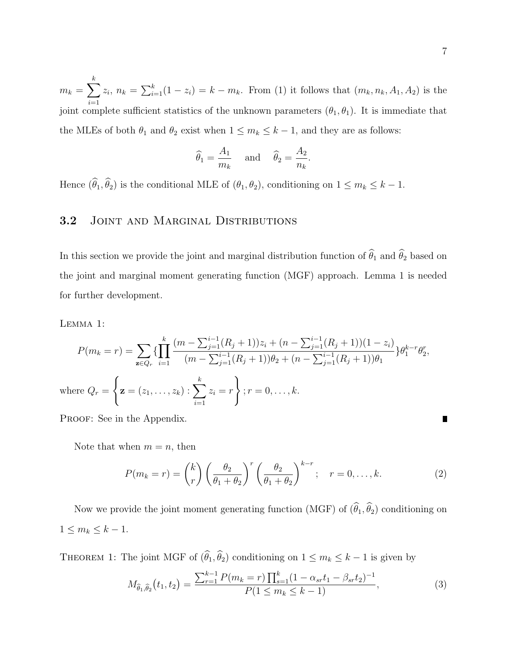$m_k = \sum$ k  $i=1$  $z_i, n_k = \sum_{i=1}^k (1 - z_i) = k - m_k$ . From (1) it follows that  $(m_k, n_k, A_1, A_2)$  is the joint complete sufficient statistics of the unknown parameters  $(\theta_1, \theta_1)$ . It is immediate that the MLEs of both  $\theta_1$  and  $\theta_2$  exist when  $1 \leq m_k \leq k-1$ , and they are as follows:

$$
\widehat{\theta}_1 = \frac{A_1}{m_k}
$$
 and  $\widehat{\theta}_2 = \frac{A_2}{n_k}$ 

.

Hence  $(\widehat{\theta}_1, \widehat{\theta}_2)$  is the conditional MLE of  $(\theta_1, \theta_2)$ , conditioning on  $1 \leq m_k \leq k - 1$ .

## 3.2 JOINT AND MARGINAL DISTRIBUTIONS

In this section we provide the joint and marginal distribution function of  $\hat{\theta}_1$  and  $\hat{\theta}_2$  based on the joint and marginal moment generating function (MGF) approach. Lemma 1 is needed for further development.

Lemma 1:

$$
P(m_k = r) = \sum_{\mathbf{z} \in Q_r} \left\{ \prod_{i=1}^k \frac{(m - \sum_{j=1}^{i-1} (R_j + 1))z_i + (n - \sum_{j=1}^{i-1} (R_j + 1))(1 - z_i)}{(m - \sum_{j=1}^{i-1} (R_j + 1))\theta_2 + (n - \sum_{j=1}^{i-1} (R_j + 1))\theta_1} \right\} \theta_1^{k-r} \theta_2^r,
$$
\nwhere  $Q_r = \left\{ \mathbf{z} = (z_1, \dots, z_k) : \sum_{i=1}^k z_i = r \right\}; r = 0, \dots, k.$ 

PROOF: See in the Appendix.

Note that when  $m = n$ , then

$$
P(m_k = r) = {k \choose r} \left(\frac{\theta_2}{\theta_1 + \theta_2}\right)^r \left(\frac{\theta_2}{\theta_1 + \theta_2}\right)^{k-r}; \quad r = 0, \dots, k. \tag{2}
$$

Now we provide the joint moment generating function (MGF) of  $(\widehat{\theta}_1, \widehat{\theta}_2)$  conditioning on  $1 \leq m_k \leq k-1.$ 

THEOREM 1: The joint MGF of  $(\widehat{\theta}_1, \widehat{\theta}_2)$  conditioning on  $1 \leq m_k \leq k-1$  is given by

$$
M_{\hat{\theta}_1, \hat{\theta}_2}(t_1, t_2) = \frac{\sum_{r=1}^{k-1} P(m_k = r) \prod_{s=1}^k (1 - \alpha_{sr} t_1 - \beta_{sr} t_2)^{-1}}{P(1 \le m_k \le k - 1)},
$$
\n(3)

Г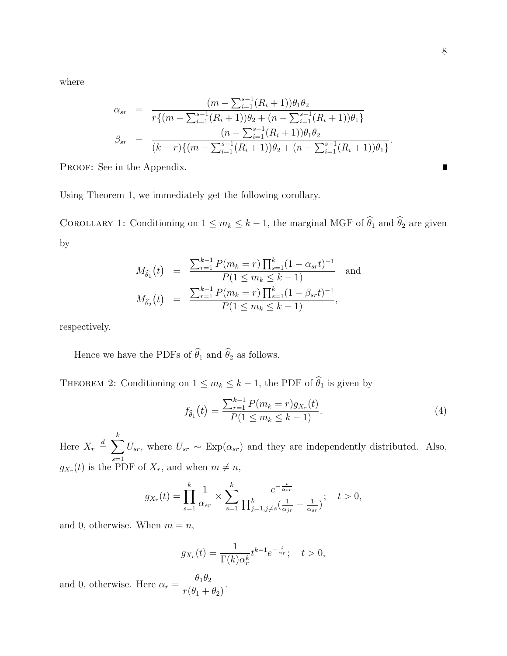where

$$
\alpha_{sr} = \frac{(m - \sum_{i=1}^{s-1} (R_i + 1))\theta_1 \theta_2}{r\{(m - \sum_{i=1}^{s-1} (R_i + 1))\theta_2 + (n - \sum_{i=1}^{s-1} (R_i + 1))\theta_1\}}
$$
  

$$
\beta_{sr} = \frac{(n - \sum_{i=1}^{s-1} (R_i + 1))\theta_1 \theta_2}{(k - r)\{(m - \sum_{i=1}^{s-1} (R_i + 1))\theta_2 + (n - \sum_{i=1}^{s-1} (R_i + 1))\theta_1\}}.
$$

PROOF: See in the Appendix.

Using Theorem 1, we immediately get the following corollary.

COROLLARY 1: Conditioning on  $1 \le m_k \le k-1$ , the marginal MGF of  $\widehat{\theta}_1$  and  $\widehat{\theta}_2$  are given by

$$
M_{\hat{\theta}_1}(t) = \frac{\sum_{r=1}^{k-1} P(m_k = r) \prod_{s=1}^k (1 - \alpha_{sr} t)^{-1}}{P(1 \le m_k \le k - 1)} \text{ and}
$$
  

$$
M_{\hat{\theta}_2}(t) = \frac{\sum_{r=1}^{k-1} P(m_k = r) \prod_{s=1}^k (1 - \beta_{sr} t)^{-1}}{P(1 \le m_k \le k - 1)},
$$

respectively.

Hence we have the PDFs of  $\widehat\theta_1$  and  $\widehat\theta_2$  as follows.

THEOREM 2: Conditioning on  $1 \leq m_k \leq k-1$ , the PDF of  $\widehat{\theta}_1$  is given by

$$
f_{\hat{\theta}_1}(t) = \frac{\sum_{r=1}^{k-1} P(m_k = r) g_{X_r}(t)}{P(1 \le m_k \le k - 1)}.
$$
\n(4)

Here  $X_r \stackrel{d}{=} \sum$ k  $s=1$  $U_{sr}$ , where  $U_{sr} \sim \text{Exp}(\alpha_{sr})$  and they are independently distributed. Also,  $g_{X_r}(t)$  is the PDF of  $X_r$ , and when  $m \neq n$ ,

$$
g_{X_r}(t) = \prod_{s=1}^k \frac{1}{\alpha_{sr}} \times \sum_{s=1}^k \frac{e^{-\frac{t}{\alpha_{sr}}}}{\prod_{j=1, j \neq s}^k (\frac{1}{\alpha_{jr}} - \frac{1}{\alpha_{sr}})}; \quad t > 0,
$$

and 0, otherwise. When  $m = n$ ,

$$
g_{X_r}(t) = \frac{1}{\Gamma(k)\alpha_r^k} t^{k-1} e^{-\frac{t}{\alpha_r}}; \quad t > 0,
$$

.

and 0, otherwise. Here  $\alpha_r =$  $\theta_1\theta_2$  $r(\theta_1 + \theta_2)$   $\blacksquare$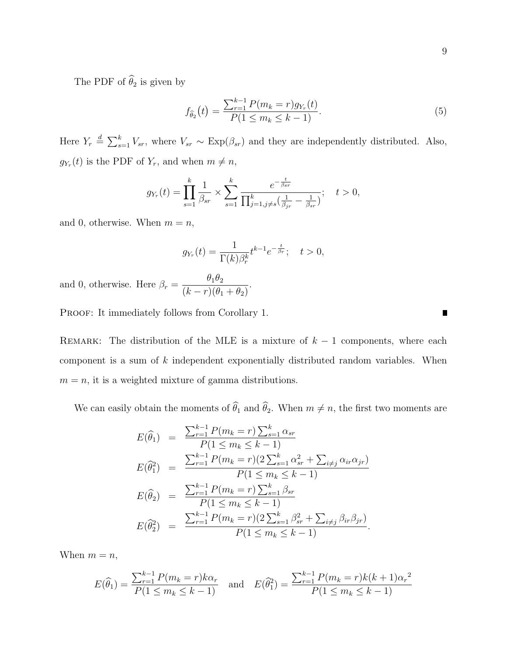The PDF of  $\widehat{\theta}_2$  is given by

$$
f_{\hat{\theta}_2}(t) = \frac{\sum_{r=1}^{k-1} P(m_k = r) g_{Y_r}(t)}{P(1 \le m_k \le k - 1)}.
$$
\n(5)

Here  $Y_r \stackrel{d}{=} \sum_{s=1}^k V_{sr}$ , where  $V_{sr} \sim \text{Exp}(\beta_{sr})$  and they are independently distributed. Also,  $g_{Y_r}(t)$  is the PDF of  $Y_r$ , and when  $m \neq n$ ,

$$
g_{Y_r}(t) = \prod_{s=1}^k \frac{1}{\beta_{sr}} \times \sum_{s=1}^k \frac{e^{-\frac{t}{\beta_{sr}}}}{\prod_{j=1, j \neq s}^k (\frac{1}{\beta_{jr}} - \frac{1}{\beta_{sr}})}; \quad t > 0,
$$

and 0, otherwise. When  $m = n$ ,

$$
g_{Y_r}(t) = \frac{1}{\Gamma(k)\beta_r^k} t^{k-1} e^{-\frac{t}{\beta_r}}; \quad t > 0,
$$

.

and 0, otherwise. Here  $\beta_r =$  $\theta_1\theta_2$  $(k - r)(\theta_1 + \theta_2)$ 

PROOF: It immediately follows from Corollary 1.

REMARK: The distribution of the MLE is a mixture of  $k-1$  components, where each component is a sum of k independent exponentially distributed random variables. When  $m = n$ , it is a weighted mixture of gamma distributions.

We can easily obtain the moments of  $\widehat{\theta}_1$  and  $\widehat{\theta}_2$ . When  $m \neq n$ , the first two moments are

$$
E(\hat{\theta}_{1}) = \frac{\sum_{r=1}^{k-1} P(m_{k} = r) \sum_{s=1}^{k} \alpha_{sr}}{P(1 \le m_{k} \le k - 1)}
$$
  
\n
$$
E(\hat{\theta}_{1}^{2}) = \frac{\sum_{r=1}^{k-1} P(m_{k} = r) (2 \sum_{s=1}^{k} \alpha_{sr}^{2} + \sum_{i \ne j} \alpha_{ir} \alpha_{jr})}{P(1 \le m_{k} \le k - 1)}
$$
  
\n
$$
E(\hat{\theta}_{2}) = \frac{\sum_{r=1}^{k-1} P(m_{k} = r) \sum_{s=1}^{k} \beta_{sr}}{P(1 \le m_{k} \le k - 1)}
$$
  
\n
$$
E(\hat{\theta}_{2}^{2}) = \frac{\sum_{r=1}^{k-1} P(m_{k} = r) (2 \sum_{s=1}^{k} \beta_{sr}^{2} + \sum_{i \ne j} \beta_{ir} \beta_{jr})}{P(1 \le m_{k} \le k - 1)}.
$$

When  $m = n$ ,

$$
E(\widehat{\theta}_1) = \frac{\sum_{r=1}^{k-1} P(m_k = r) k \alpha_r}{P(1 \le m_k \le k - 1)} \quad \text{and} \quad E(\widehat{\theta}_1^2) = \frac{\sum_{r=1}^{k-1} P(m_k = r) k (k+1) \alpha_r^2}{P(1 \le m_k \le k - 1)}
$$

 $\blacksquare$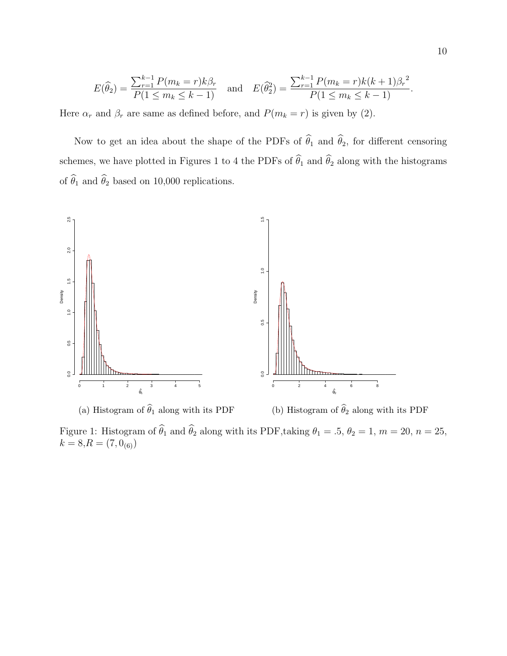$$
E(\widehat{\theta}_2) = \frac{\sum_{r=1}^{k-1} P(m_k = r) k \beta_r}{P(1 \le m_k \le k - 1)} \quad \text{and} \quad E(\widehat{\theta}_2^2) = \frac{\sum_{r=1}^{k-1} P(m_k = r) k (k+1) \beta_r^2}{P(1 \le m_k \le k - 1)}.
$$

Here  $\alpha_r$  and  $\beta_r$  are same as defined before, and  $P(m_k = r)$  is given by (2).

Now to get an idea about the shape of the PDFs of  $\hat{\theta}_1$  and  $\hat{\theta}_2$ , for different censoring schemes, we have plotted in Figures 1 to 4 the PDFs of  $\hat{\theta}_1$  and  $\hat{\theta}_2$  along with the histograms of  $\widehat\theta_1$  and  $\widehat\theta_2$  based on 10,000 replications.



Figure 1: Histogram of  $\hat{\theta}_1$  and  $\hat{\theta}_2$  along with its PDF,taking  $\theta_1 = .5$ ,  $\theta_2 = 1$ ,  $m = 20$ ,  $n = 25$ ,  $k = 8, R = (7, 0_{(6)})$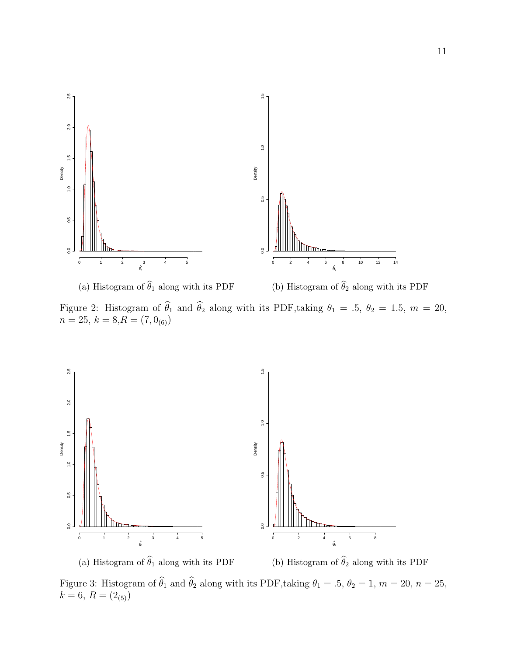

Figure 2: Histogram of  $\theta_1$  and  $\theta_2$  along with its PDF,taking  $\theta_1 = .5$ ,  $\theta_2 = 1.5$ ,  $m = 20$ ,  $n = 25, k = 8, R = (7, 0)_{(6)}$ 



Figure 3: Histogram of  $\hat{\theta}_1$  and  $\hat{\theta}_2$  along with its PDF,taking  $\theta_1 = .5$ ,  $\theta_2 = 1$ ,  $m = 20$ ,  $n = 25$ ,  $k = 6, R = (2_{(5)})$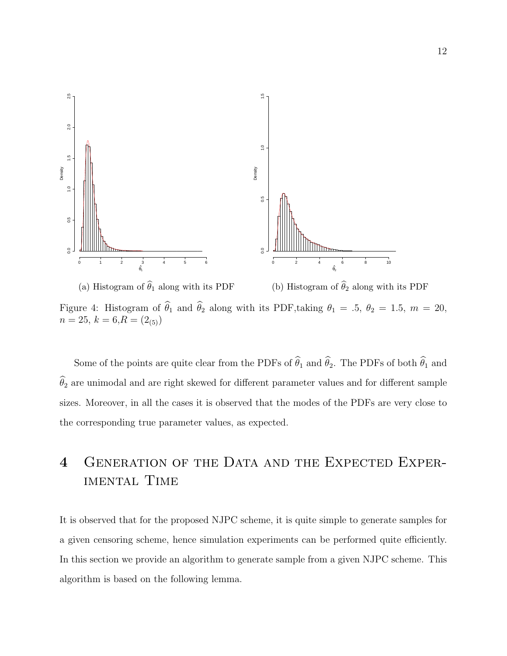

Figure 4: Histogram of  $\hat{\theta}_1$  and  $\hat{\theta}_2$  along with its PDF,taking  $\theta_1 = .5$ ,  $\theta_2 = 1.5$ ,  $m = 20$ ,  $n = 25, k = 6, R = (2_{(5)})$ 

Some of the points are quite clear from the PDFs of  $\hat{\theta}_1$  and  $\hat{\theta}_2$ . The PDFs of both  $\hat{\theta}_1$  and  $\hat{\theta}_2$  are unimodal and are right skewed for different parameter values and for different sample sizes. Moreover, in all the cases it is observed that the modes of the PDFs are very close to the corresponding true parameter values, as expected.

# 4 Generation of the Data and the Expected Exper-IMENTAL TIME

It is observed that for the proposed NJPC scheme, it is quite simple to generate samples for a given censoring scheme, hence simulation experiments can be performed quite efficiently. In this section we provide an algorithm to generate sample from a given NJPC scheme. This algorithm is based on the following lemma.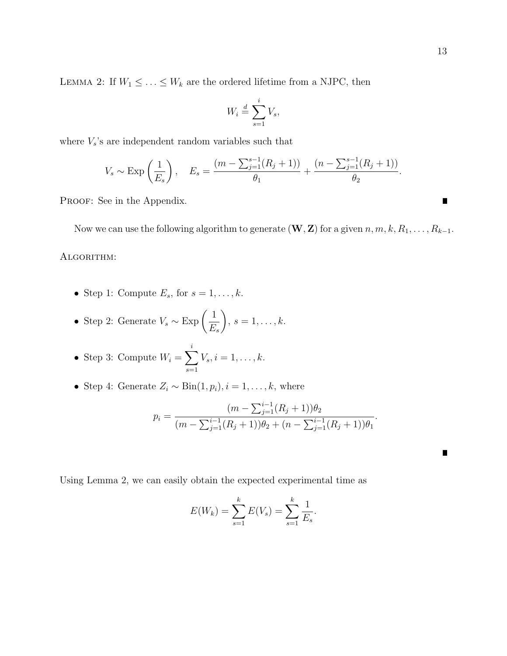LEMMA 2: If  $W_1 \leq \ldots \leq W_k$  are the ordered lifetime from a NJPC, then

$$
W_i \stackrel{d}{=} \sum_{s=1}^i V_s,
$$

where  $V_s$ 's are independent random variables such that

$$
V_s \sim \text{Exp}\left(\frac{1}{E_s}\right)
$$
,  $E_s = \frac{(m - \sum_{j=1}^{s-1} (R_j + 1))}{\theta_1} + \frac{(n - \sum_{j=1}^{s-1} (R_j + 1))}{\theta_2}$ .

PROOF: See in the Appendix.

Now we can use the following algorithm to generate  $(\mathbf{W}, \mathbf{Z})$  for a given  $n, m, k, R_1, \ldots, R_{k-1}$ . Algorithm:

- Step 1: Compute  $E_s$ , for  $s = 1, \ldots, k$ .
- Step 2: Generate  $V_s \sim \text{Exp}\left(\frac{1}{F_s}\right)$  $E_s$  $\setminus$  $s=1,\ldots,k.$
- Step 3: Compute  $W_i = \sum$ i  $s=1$  $V_s, i = 1, \ldots, k.$
- Step 4: Generate  $Z_i \sim \text{Bin}(1, p_i), i = 1, \ldots, k$ , where

$$
p_i = \frac{(m - \sum_{j=1}^{i-1} (R_j + 1))\theta_2}{(m - \sum_{j=1}^{i-1} (R_j + 1))\theta_2 + (n - \sum_{j=1}^{i-1} (R_j + 1))\theta_1}.
$$

Using Lemma 2, we can easily obtain the expected experimental time as

$$
E(W_k) = \sum_{s=1}^{k} E(V_s) = \sum_{s=1}^{k} \frac{1}{E_s}.
$$

и

 $\blacksquare$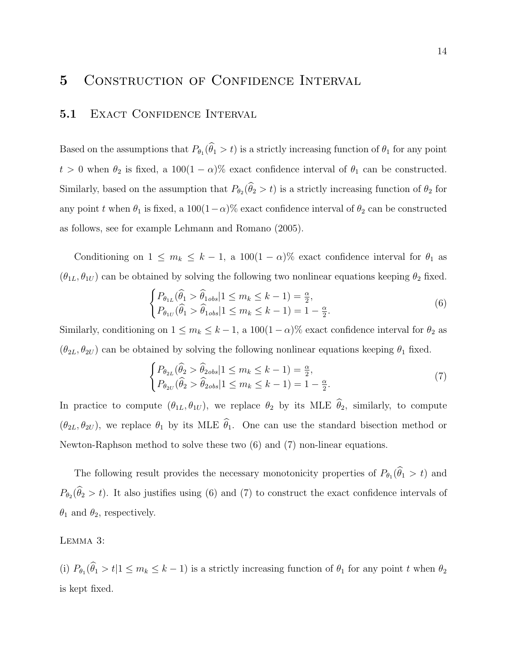## 5 CONSTRUCTION OF CONFIDENCE INTERVAL

#### 5.1 EXACT CONFIDENCE INTERVAL

Based on the assumptions that  $P_{\theta_1}(\theta_1 > t)$  is a strictly increasing function of  $\theta_1$  for any point  $t > 0$  when  $\theta_2$  is fixed, a 100(1 –  $\alpha$ )% exact confidence interval of  $\theta_1$  can be constructed. Similarly, based on the assumption that  $P_{\theta_2}(\theta_2 > t)$  is a strictly increasing function of  $\theta_2$  for any point t when  $\theta_1$  is fixed, a 100(1-α)% exact confidence interval of  $\theta_2$  can be constructed as follows, see for example Lehmann and Romano (2005).

Conditioning on  $1 \le m_k \le k - 1$ , a  $100(1 - \alpha)\%$  exact confidence interval for  $\theta_1$  as  $(\theta_{1L}, \theta_{1U})$  can be obtained by solving the following two nonlinear equations keeping  $\theta_2$  fixed.

$$
\begin{cases}\nP_{\theta_{1L}}(\widehat{\theta}_1 > \widehat{\theta}_{1obs} | 1 \le m_k \le k - 1) = \frac{\alpha}{2}, \\
P_{\theta_{1U}}(\widehat{\theta}_1 > \widehat{\theta}_{1obs} | 1 \le m_k \le k - 1) = 1 - \frac{\alpha}{2}.\n\end{cases} \tag{6}
$$

Similarly, conditioning on  $1 \le m_k \le k-1$ , a  $100(1-\alpha)\%$  exact confidence interval for  $\theta_2$  as  $(\theta_{2L}, \theta_{2U})$  can be obtained by solving the following nonlinear equations keeping  $\theta_1$  fixed.

$$
\begin{cases}\nP_{\theta_{2L}}(\widehat{\theta}_2 > \widehat{\theta}_{2obs} | 1 \le m_k \le k - 1) = \frac{\alpha}{2}, \\
P_{\theta_{2U}}(\widehat{\theta}_2 > \widehat{\theta}_{2obs} | 1 \le m_k \le k - 1) = 1 - \frac{\alpha}{2}.\n\end{cases} \tag{7}
$$

In practice to compute  $(\theta_{1L}, \theta_{1U})$ , we replace  $\theta_2$  by its MLE  $\hat{\theta}_2$ , similarly, to compute  $(\theta_{2L}, \theta_{2U})$ , we replace  $\theta_1$  by its MLE  $\hat{\theta}_1$ . One can use the standard bisection method or Newton-Raphson method to solve these two (6) and (7) non-linear equations.

The following result provides the necessary monotonicity properties of  $P_{\theta_1}(\theta_1 > t)$  and  $P_{\theta_2}(\theta_2 > t)$ . It also justifies using (6) and (7) to construct the exact confidence intervals of  $\theta_1$  and  $\theta_2$ , respectively.

Lemma 3:

(i)  $P_{\theta_1}(\theta_1 > t | 1 \le m_k \le k - 1)$  is a strictly increasing function of  $\theta_1$  for any point t when  $\theta_2$ is kept fixed.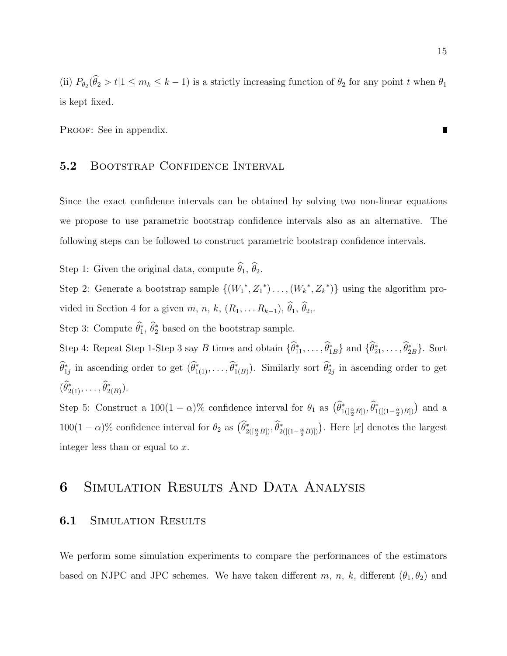(ii)  $P_{\theta_2}(\theta_2 > t | 1 \le m_k \le k - 1)$  is a strictly increasing function of  $\theta_2$  for any point t when  $\theta_1$ is kept fixed.

PROOF: See in appendix.

#### 5.2 BOOTSTRAP CONFIDENCE INTERVAL

Since the exact confidence intervals can be obtained by solving two non-linear equations we propose to use parametric bootstrap confidence intervals also as an alternative. The following steps can be followed to construct parametric bootstrap confidence intervals.

Step 1: Given the original data, compute  $\widehat{\theta}_1$ ,  $\widehat{\theta}_2$ .

Step 2: Generate a bootstrap sample  $\{(W_1^*, Z_1^*)\dots, (W_k^*, Z_k^*)\}$  using the algorithm provided in Section 4 for a given m, n, k,  $(R_1, \ldots R_{k-1}), \hat{\theta}_1, \hat{\theta}_2,$ .

Step 3: Compute  $\hat{\theta}_1^*, \hat{\theta}_2^*$  based on the bootstrap sample.

Step 4: Repeat Step 1-Step 3 say B times and obtain  $\{\hat{\theta}_{11}^*, \ldots, \hat{\theta}_{1B}^*\}$  and  $\{\hat{\theta}_{21}^*, \ldots, \hat{\theta}_{2B}^*\}$ . Sort  $\widehat{\theta}_{1j}^*$  in ascending order to get  $(\widehat{\theta}_{1(1)}^*, \ldots, \widehat{\theta}_{1(B)}^*)$ . Similarly sort  $\widehat{\theta}_{2j}^*$  in ascending order to get  $(\widehat{\theta}_{2(1)}^*, \ldots, \widehat{\theta}_{2(B)}^*)$ .

Step 5: Construct a  $100(1-\alpha)$ % confidence interval for  $\theta_1$  as  $(\hat{\theta}^*_{1([\frac{\alpha}{2}B])}, \hat{\theta}^*_{1([[1-\frac{\alpha}{2})B]})$  and a  $100(1-\alpha)\%$  confidence interval for  $\theta_2$  as  $(\widehat{\theta}_{2([\frac{\alpha}{2}B])}^*, \widehat{\theta}_{2([\left(1-\frac{\alpha}{2}B]\right)})^*$ . Here [x] denotes the largest integer less than or equal to x.

## 6 Simulation Results And Data Analysis

#### **6.1 SIMULATION RESULTS**

We perform some simulation experiments to compare the performances of the estimators based on NJPC and JPC schemes. We have taken different m, n, k, different  $(\theta_1, \theta_2)$  and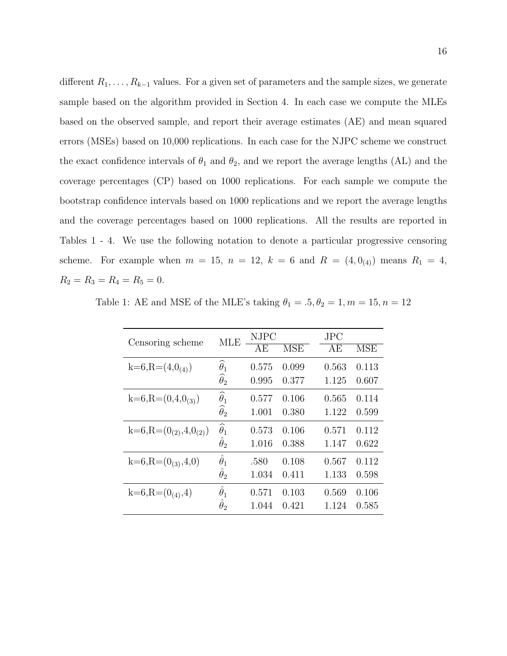different  $R_1, \ldots, R_{k-1}$  values. For a given set of parameters and the sample sizes, we generate sample based on the algorithm provided in Section 4. In each case we compute the MLEs based on the observed sample, and report their average estimates (AE) and mean squared errors (MSEs) based on 10,000 replications. In each case for the NJPC scheme we construct the exact confidence intervals of  $\theta_1$  and  $\theta_2$ , and we report the average lengths (AL) and the coverage percentages (CP) based on 1000 replications. For each sample we compute the bootstrap confidence intervals based on 1000 replications and we report the average lengths and the coverage percentages based on 1000 replications. All the results are reported in Tables 1 - 4. We use the following notation to denote a particular progressive censoring scheme. For example when  $m = 15$ ,  $n = 12$ ,  $k = 6$  and  $R = (4, 0)$  means  $R_1 = 4$ ,  $R_2 = R_3 = R_4 = R_5 = 0.$ 

Table 1: AE and MSE of the MLE's taking  $\theta_1 = .5, \theta_2 = 1, m = 15, n = 12$ 

|                                | <b>MLE</b>             | <b>NJPC</b> |            | $_{\rm JPC}$ |            |
|--------------------------------|------------------------|-------------|------------|--------------|------------|
| Censoring scheme               |                        | ΑE          | <b>MSE</b> | AЕ           | <b>MSE</b> |
| $k=6, R=(4,0(4))$              | $\widehat{\theta}_1$   | 0.575       | 0.099      | 0.563        | 0.113      |
|                                | $\widehat{\theta}_2$   | 0.995       | 0.377      | 1.125        | 0.607      |
| $k=6, R=(0,4,0(3))$            | $\widehat{\theta}_1$   | 0.577       | 0.106      | 0.565        | 0.114      |
|                                | $\widehat{\theta}_{2}$ | 1.001       | 0.380      | 1.122        | 0.599      |
| $k=6, R=(0_{(2)}, 4, 0_{(2)})$ | $\widehat{\theta}_1$   | 0.573       | 0.106      | 0.571        | 0.112      |
|                                | $\hat{\theta}_2$       | 1.016       | 0.388      | 1.147        | 0.622      |
| $k=6, R=(0_{(3)}, 4, 0)$       | $\hat{\theta}_1$       | .580        | 0.108      | 0.567        | 0.112      |
|                                | $\hat{\theta}_2$       | 1.034       | 0.411      | 1.133        | 0.598      |
| $k=6, R=(0_{(4)}, 4)$          | $\hat{\theta}_1$       | 0.571       | 0.103      | 0.569        | 0.106      |
|                                | $\hat{\theta}_2$       | 1.044       | 0.421      | 1.124        | 0.585      |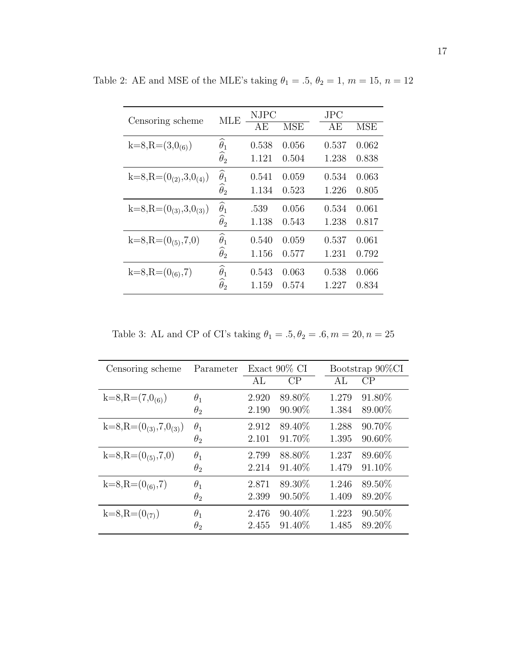|                                | <b>MLE</b>                                 | <b>NJPC</b> |            | $_{\rm JPC}$ |            |
|--------------------------------|--------------------------------------------|-------------|------------|--------------|------------|
| Censoring scheme               |                                            | АE          | <b>MSE</b> | AE           | <b>MSE</b> |
| $k=8, R=(3,0(6))$              | $\widehat{\theta}_1$                       | 0.538       | 0.056      | 0.537        | 0.062      |
|                                | $\widehat{\theta}_2$                       | 1.121       | 0.504      | 1.238        | 0.838      |
| $k=8, R=(0_{(2)}, 3, 0_{(4)})$ | $\widehat{\theta}_1$                       | 0.541       | 0.059      | 0.534        | 0.063      |
|                                | $\widehat{\theta}_2$                       | 1.134       | 0.523      | 1.226        | 0.805      |
| $k=8, R=(0_{(3)},3,0_{(3)})$   | $\widehat{\theta}_1 \\ \widehat{\theta}_2$ | .539        | 0.056      | 0.534        | 0.061      |
|                                |                                            | 1.138       | 0.543      | 1.238        | 0.817      |
| $k=8, R=(0(5), 7, 0)$          | $\widehat{\theta}_1$                       | 0.540       | 0.059      | 0.537        | 0.061      |
|                                | $\widehat{\theta}_2$                       | 1.156       | 0.577      | 1.231        | 0.792      |
| $k=8, R=(0_{(6)}, 7)$          | $\widehat{\theta}_1$                       | 0.543       | 0.063      | 0.538        | 0.066      |
|                                | $\widehat{\theta}_2$                       | 1.159       | 0.574      | 1.227        | 0.834      |

Table 2: AE and MSE of the MLE's taking  $\theta_1 = .5, \theta_2 = 1, \, m = 15, \, n = 12$ 

Table 3: AL and CP of CI's taking  $\theta_1 = .5, \theta_2 = .6, m = 20, n = 25$ 

| Censoring scheme               | Parameter  | Exact $90\%$ CI |           | Bootstrap 90%CI |           |
|--------------------------------|------------|-----------------|-----------|-----------------|-----------|
|                                |            | AL              | CP        | AI              | CP        |
| $k=8, R=(7,0(6))$              | $\theta_1$ | 2.920           | 89.80%    | 1.279           | 91.80%    |
|                                | $\theta_2$ | 2.190           | $90.90\%$ | 1.384           | 89.00%    |
| $k=8, R=(0_{(3)}, 7, 0_{(3)})$ | $\theta_1$ | 2.912           | 89.40%    | 1.288           | 90.70%    |
|                                | $\theta_2$ | 2.101           | 91.70%    | 1.395           | $90.60\%$ |
| $k=8, R=(0(5), 7, 0)$          | $\theta_1$ | 2.799           | 88.80%    | 1.237           | 89.60%    |
|                                | $\theta_2$ | 2.214           | 91.40%    | 1.479           | 91.10%    |
| $k=8, R=(0_{(6)}, 7)$          | $\theta_1$ | 2.871           | 89.30%    | 1.246           | 89.50%    |
|                                | $\theta_2$ | 2.399           | $90.50\%$ | 1.409           | 89.20%    |
| $k=8, R=(0(7))$                | $\theta_1$ | 2.476           | 90.40\%   | 1.223           | $90.50\%$ |
|                                | $\theta_2$ | 2.455           | 91.40%    | 1.485           | 89.20%    |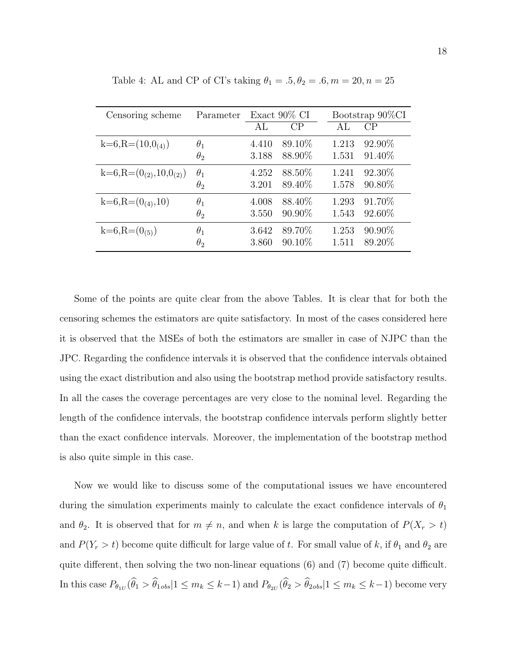| Censoring scheme                | Parameter  | Exact $90\%$ CI |           | Bootstrap 90%CI |           |
|---------------------------------|------------|-----------------|-----------|-----------------|-----------|
|                                 |            | AL              | CP        | AL              | CP        |
| $k=6, R=(10,0_{(4)})$           | $\theta_1$ | 4.410           | 89.10\%   | 1.213           | 92.90%    |
|                                 | $\theta_2$ | 3.188           | 88.90%    | 1.531           | 91.40%    |
| $k=6, R=(0_{(2)}, 10, 0_{(2)})$ | $\theta_1$ | 4.252           | 88.50%    | 1.241           | 92.30%    |
|                                 | $\theta_2$ | 3.201           | 89.40\%   | 1.578           | 90.80%    |
| $k=6, R=(0_{(4)}, 10)$          | $\theta_1$ | 4.008           | 88.40\%   | 1.293           | 91.70%    |
|                                 | $\theta_2$ | 3.550           | 90.90%    | 1.543           | 92.60%    |
| $k=6, R=(0(5))$                 | $\theta_1$ | 3.642           | 89.70%    | 1.253           | $90.90\%$ |
|                                 | $\theta_2$ | 3.860           | $90.10\%$ | 1.511           | 89.20%    |

Table 4: AL and CP of CI's taking  $\theta_1 = .5, \theta_2 = .6, m = 20, n = 25$ 

Some of the points are quite clear from the above Tables. It is clear that for both the censoring schemes the estimators are quite satisfactory. In most of the cases considered here it is observed that the MSEs of both the estimators are smaller in case of NJPC than the JPC. Regarding the confidence intervals it is observed that the confidence intervals obtained using the exact distribution and also using the bootstrap method provide satisfactory results. In all the cases the coverage percentages are very close to the nominal level. Regarding the length of the confidence intervals, the bootstrap confidence intervals perform slightly better than the exact confidence intervals. Moreover, the implementation of the bootstrap method is also quite simple in this case.

Now we would like to discuss some of the computational issues we have encountered during the simulation experiments mainly to calculate the exact confidence intervals of  $\theta_1$ and  $\theta_2$ . It is observed that for  $m \neq n$ , and when k is large the computation of  $P(X_r > t)$ and  $P(Y_r > t)$  become quite difficult for large value of t. For small value of k, if  $\theta_1$  and  $\theta_2$  are quite different, then solving the two non-linear equations (6) and (7) become quite difficult. In this case  $P_{\theta_{1U}}(\theta_1 > \theta_{1obs}|1 \le m_k \le k-1)$  and  $P_{\theta_{2U}}(\theta_2 > \theta_{2obs}|1 \le m_k \le k-1)$  become very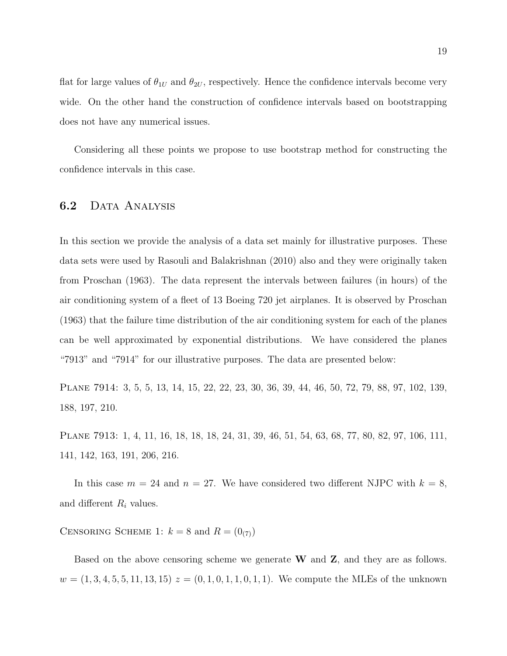flat for large values of  $\theta_{1U}$  and  $\theta_{2U}$ , respectively. Hence the confidence intervals become very wide. On the other hand the construction of confidence intervals based on bootstrapping does not have any numerical issues.

Considering all these points we propose to use bootstrap method for constructing the confidence intervals in this case.

### 6.2 DATA ANALYSIS

In this section we provide the analysis of a data set mainly for illustrative purposes. These data sets were used by Rasouli and Balakrishnan (2010) also and they were originally taken from Proschan (1963). The data represent the intervals between failures (in hours) of the air conditioning system of a fleet of 13 Boeing 720 jet airplanes. It is observed by Proschan (1963) that the failure time distribution of the air conditioning system for each of the planes can be well approximated by exponential distributions. We have considered the planes "7913" and "7914" for our illustrative purposes. The data are presented below:

Plane 7914: 3, 5, 5, 13, 14, 15, 22, 22, 23, 30, 36, 39, 44, 46, 50, 72, 79, 88, 97, 102, 139, 188, 197, 210.

Plane 7913: 1, 4, 11, 16, 18, 18, 18, 24, 31, 39, 46, 51, 54, 63, 68, 77, 80, 82, 97, 106, 111, 141, 142, 163, 191, 206, 216.

In this case  $m = 24$  and  $n = 27$ . We have considered two different NJPC with  $k = 8$ , and different  $R_i$  values.

CENSORING SCHEME 1:  $k = 8$  and  $R = (0_{(7)})$ 

Based on the above censoring scheme we generate  $W$  and  $Z$ , and they are as follows.  $w = (1, 3, 4, 5, 5, 11, 13, 15)$   $z = (0, 1, 0, 1, 1, 0, 1, 1)$ . We compute the MLEs of the unknown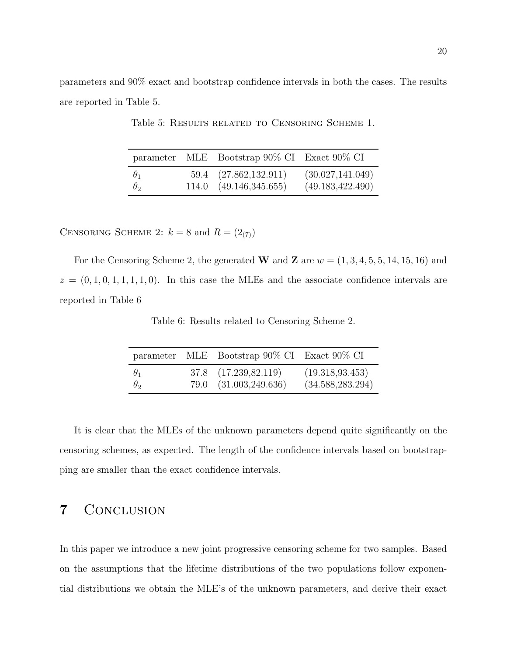parameters and 90% exact and bootstrap confidence intervals in both the cases. The results are reported in Table 5.

|            |                                | parameter MLE Bootstrap 90% CI Exact 90% CI |
|------------|--------------------------------|---------------------------------------------|
| $\theta_1$ | 59.4 (27.862,132.911)          | (30.027, 141.049)                           |
| $\theta_2$ | $114.0 \quad (49.146,345.655)$ | (49.183, 422.490)                           |

Table 5: Results related to Censoring Scheme 1.

CENSORING SCHEME 2:  $k = 8$  and  $R = (2_{(7)})$ 

For the Censoring Scheme 2, the generated W and Z are  $w = (1, 3, 4, 5, 5, 14, 15, 16)$  and  $z = (0, 1, 0, 1, 1, 1, 1, 0)$ . In this case the MLEs and the associate confidence intervals are reported in Table 6

Table 6: Results related to Censoring Scheme 2.

|            | parameter MLE Bootstrap 90% CI Exact 90% CI |                   |
|------------|---------------------------------------------|-------------------|
| $\theta_1$ | 37.8 (17.239, 82.119)                       | (19.318, 93.453)  |
| $\theta_2$ | 79.0 (31.003,249.636)                       | (34.588, 283.294) |

It is clear that the MLEs of the unknown parameters depend quite significantly on the censoring schemes, as expected. The length of the confidence intervals based on bootstrapping are smaller than the exact confidence intervals.

## 7 Conclusion

In this paper we introduce a new joint progressive censoring scheme for two samples. Based on the assumptions that the lifetime distributions of the two populations follow exponential distributions we obtain the MLE's of the unknown parameters, and derive their exact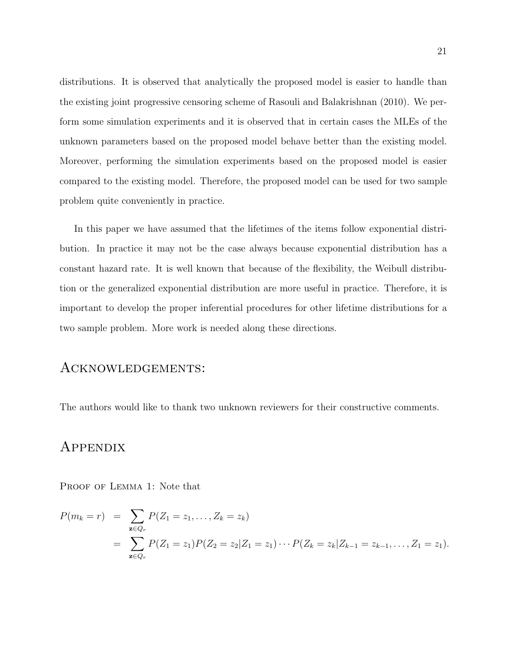distributions. It is observed that analytically the proposed model is easier to handle than the existing joint progressive censoring scheme of Rasouli and Balakrishnan (2010). We perform some simulation experiments and it is observed that in certain cases the MLEs of the unknown parameters based on the proposed model behave better than the existing model. Moreover, performing the simulation experiments based on the proposed model is easier compared to the existing model. Therefore, the proposed model can be used for two sample problem quite conveniently in practice.

In this paper we have assumed that the lifetimes of the items follow exponential distribution. In practice it may not be the case always because exponential distribution has a constant hazard rate. It is well known that because of the flexibility, the Weibull distribution or the generalized exponential distribution are more useful in practice. Therefore, it is important to develop the proper inferential procedures for other lifetime distributions for a two sample problem. More work is needed along these directions.

### Acknowledgements:

The authors would like to thank two unknown reviewers for their constructive comments.

### Appendix

PROOF OF LEMMA 1: Note that

$$
P(m_k = r) = \sum_{\mathbf{z} \in Q_r} P(Z_1 = z_1, ..., Z_k = z_k)
$$
  
= 
$$
\sum_{\mathbf{z} \in Q_r} P(Z_1 = z_1) P(Z_2 = z_2 | Z_1 = z_1) \cdots P(Z_k = z_k | Z_{k-1} = z_{k-1}, ..., Z_1 = z_1).
$$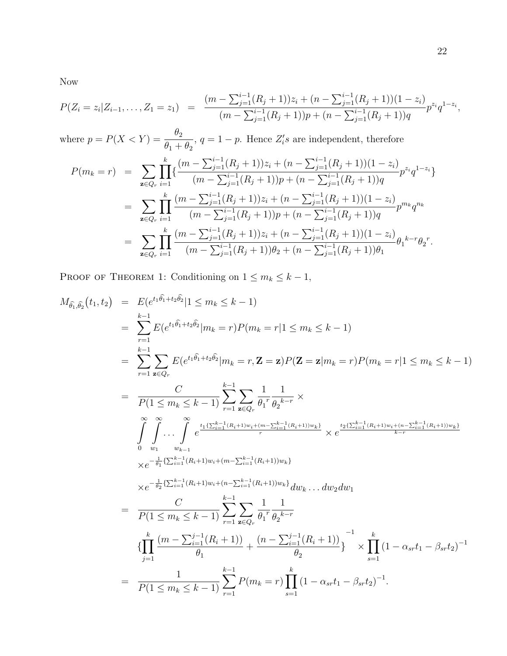Now

$$
P(Z_i = z_i | Z_{i-1},..., Z_1 = z_1) = \frac{(m - \sum_{j=1}^{i-1} (R_j + 1))z_i + (n - \sum_{j=1}^{i-1} (R_j + 1))(1 - z_i)}{(m - \sum_{j=1}^{i-1} (R_j + 1))p + (n - \sum_{j=1}^{i-1} (R_j + 1))q} p^{z_i} q^{1 - z_i},
$$

where  $p = P(X < Y) = \frac{\theta_2}{\theta_2}$  $\theta_1 + \theta_2$ ,  $q = 1 - p$ . Hence  $Z_i$ 's are independent, therefore

$$
P(m_k = r) = \sum_{\mathbf{z} \in Q_r} \prod_{i=1}^k \{ \frac{(m - \sum_{j=1}^{i-1} (R_j + 1))z_i + (n - \sum_{j=1}^{i-1} (R_j + 1))(1 - z_i)}{(m - \sum_{j=1}^{i-1} (R_j + 1))p + (n - \sum_{j=1}^{i-1} (R_j + 1))q} p^{z_i} q^{1 - z_i} \}
$$
  
\n
$$
= \sum_{\mathbf{z} \in Q_r} \prod_{i=1}^k \frac{(m - \sum_{j=1}^{i-1} (R_j + 1))z_i + (n - \sum_{j=1}^{i-1} (R_j + 1))(1 - z_i)}{(m - \sum_{j=1}^{i-1} (R_j + 1))p + (n - \sum_{j=1}^{i-1} (R_j + 1))q} p^{m_k} q^{n_k}
$$
  
\n
$$
= \sum_{\mathbf{z} \in Q_r} \prod_{i=1}^k \frac{(m - \sum_{j=1}^{i-1} (R_j + 1))z_i + (n - \sum_{j=1}^{i-1} (R_j + 1))(1 - z_i)}{(m - \sum_{j=1}^{i-1} (R_j + 1))\theta_2 + (n - \sum_{j=1}^{i-1} (R_j + 1))\theta_1} \theta_1^{k - r} \theta_2^r.
$$

PROOF OF THEOREM 1: Conditioning on  $1 \le m_k \le k - 1$ ,

$$
M_{\hat{\theta}_{1},\hat{\theta}_{2}}(t_{1},t_{2}) = E(e^{t_{1}\hat{\theta}_{1}+t_{2}\hat{\theta}_{2}}|1 \leq m_{k} \leq k-1)
$$
\n
$$
= \sum_{r=1}^{k-1} E(e^{t_{1}\hat{\theta}_{1}+t_{2}\hat{\theta}_{2}}|m_{k}=r)P(m_{k}=r|1 \leq m_{k} \leq k-1)
$$
\n
$$
= \sum_{r=1}^{k-1} \sum_{\mathbf{z}\in Q_{r}} E(e^{t_{1}\hat{\theta}_{1}+t_{2}\hat{\theta}_{2}}|m_{k}=r, \mathbf{Z}=\mathbf{z})P(\mathbf{Z}=\mathbf{z}|m_{k}=r)P(m_{k}=r|1 \leq m_{k} \leq k-1)
$$
\n
$$
= \frac{C}{P(1 \leq m_{k} \leq k-1)} \sum_{r=1}^{k-1} \sum_{\mathbf{z}\in Q_{r}} \frac{1}{\theta_{1}^{r}} \frac{1}{\theta_{2}^{k-r}} \times
$$
\n
$$
\int_{0}^{\infty} \int_{w_{1}}^{\infty} \cdots \int_{w_{k-1}}^{\infty} e^{\frac{t_{1}(\sum_{i=1}^{k-1}(R_{i}+1)w_{i}+(m-\sum_{i=1}^{k-1}(R_{i}+1))w_{k})}{r}} \times e^{\frac{t_{2}(\sum_{i=1}^{k-1}(R_{i}+1)w_{i}+(n-\sum_{i=1}^{k-1}(R_{i}+1))w_{i}+m-\sum_{i=1}^{k-1}(R_{i}+1))w_{i}}{k-r}}
$$
\n
$$
\times e^{-\frac{1}{\theta_{1}}(\sum_{i=1}^{k-1}(R_{i}+1)w_{i}+(m-\sum_{i=1}^{k-1}(R_{i}+1))w_{k})} dw_{k} \dots dw_{2}dw_{1}
$$
\n
$$
= \frac{C}{P(1 \leq m_{k} \leq k-1)} \sum_{r=1}^{k-1} \sum_{\mathbf{z}\in Q_{r}} \frac{1}{\theta_{1}^{r}} \frac{1}{\theta_{2}^{k-r}}
$$
\n
$$
\{\prod_{j=1}^{k} \frac{(m-\sum_{i=1}^{j-1}(R_{i}+1))}{\theta
$$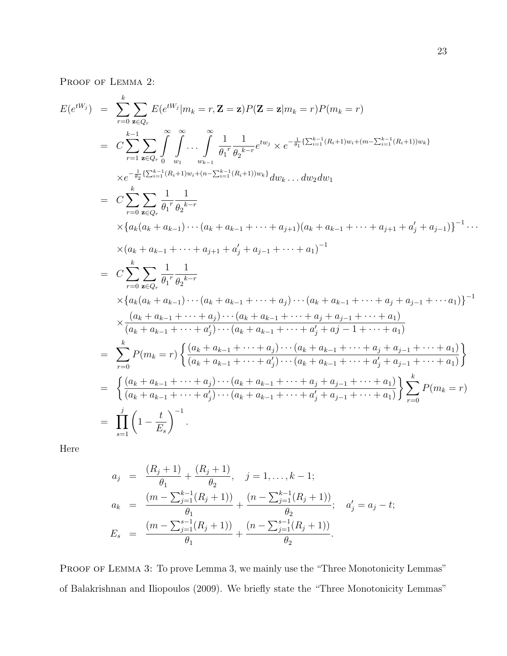PROOF OF LEMMA 2:

$$
E(e^{tW_j}) = \sum_{r=0}^{k} \sum_{\mathbf{z}\in Q_r} E(e^{tW_j}|m_k = r, \mathbf{Z} = \mathbf{z})P(\mathbf{Z} = \mathbf{z}|m_k = r)P(m_k = r)
$$
  
\n
$$
= C \sum_{r=1}^{k-1} \sum_{\mathbf{z}\in Q_r} \int_{0}^{\infty} \int_{w_1}^{\infty} \cdots \int_{w_{k-1}}^{\infty} \frac{1}{\theta_1^r} \frac{1}{\theta_2^{k-r}} e^{tw_j} \times e^{-\frac{1}{\theta_1} \{\sum_{i=1}^{k-1} (R_i+1)w_i+(m-\sum_{i=1}^{k-1} (R_i+1))w_k\}}{\chi(e^{-\frac{1}{\theta_2} \{\sum_{i=1}^{k-1} (R_i+1)w_i+(m-\sum_{i=1}^{k-1} (R_i+1))w_k\}} d w_k \dots d w_2 d w_1}
$$
  
\n
$$
= C \sum_{r=0}^{k} \sum_{\mathbf{z}\in Q_r} \frac{1}{\theta_1^r} \frac{1}{\theta_2^{k-r}}
$$
  
\n
$$
\times \{a_k(a_k + a_{k-1}) \cdots (a_k + a_{k-1} + \cdots + a_{j+1}) (a_k + a_{k-1} + \cdots + a_{j+1} + a'_j + a_{j-1})\}^{-1} \cdots
$$
  
\n
$$
\times (a_k + a_{k-1} + \cdots + a_{j+1} + a'_j + a_{j-1} + \cdots + a_1)^{-1}
$$
  
\n
$$
= C \sum_{r=0}^{k} \sum_{\mathbf{z}\in Q_r} \frac{1}{\theta_1^r} \frac{1}{\theta_2^{k-r}}
$$
  
\n
$$
\times \{a_k(a_k + a_{k-1}) \cdots (a_k + a_{k-1} + \cdots + a_j) \cdots (a_k + a_{k-1} + \cdots + a_j + a_{j-1} + \cdots + a_1)
$$
  
\n
$$
\times \frac{(a_k + a_{k-1} + \cdots + a_j) \cdots (a_k + a_{k-1} + \cdots + a_j + a_{j-1} + \cdots + a_1)}{(a_k + a_{k-1} + \cdots + a_j) \cdots
$$

Here

$$
a_j = \frac{(R_j + 1)}{\theta_1} + \frac{(R_j + 1)}{\theta_2}, \quad j = 1, ..., k - 1;
$$
  
\n
$$
a_k = \frac{(m - \sum_{j=1}^{k-1} (R_j + 1))}{\theta_1} + \frac{(n - \sum_{j=1}^{k-1} (R_j + 1))}{\theta_2}; \quad a'_j = a_j - t;
$$
  
\n
$$
E_s = \frac{(m - \sum_{j=1}^{s-1} (R_j + 1))}{\theta_1} + \frac{(n - \sum_{j=1}^{s-1} (R_j + 1))}{\theta_2}.
$$

PROOF OF LEMMA 3: To prove Lemma 3, we mainly use the "Three Monotonicity Lemmas" of Balakrishnan and Iliopoulos (2009). We briefly state the "Three Monotonicity Lemmas"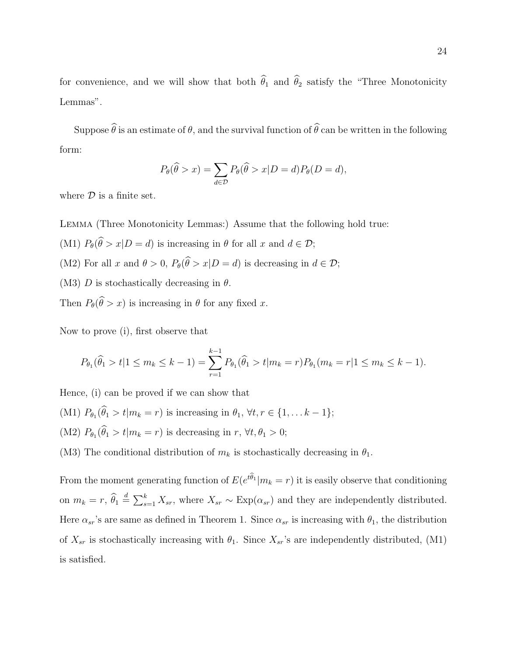for convenience, and we will show that both  $\hat{\theta}_1$  and  $\hat{\theta}_2$  satisfy the "Three Monotonicity Lemmas".

Suppose  $\hat{\theta}$  is an estimate of  $\theta$ , and the survival function of  $\hat{\theta}$  can be written in the following form:

$$
P_{\theta}(\widehat{\theta} > x) = \sum_{d \in \mathcal{D}} P_{\theta}(\widehat{\theta} > x | D = d) P_{\theta}(D = d),
$$

where  $D$  is a finite set.

Lemma (Three Monotonicity Lemmas:) Assume that the following hold true:

(M1)  $P_{\theta}(\widehat{\theta} > x | D = d)$  is increasing in  $\theta$  for all x and  $d \in \mathcal{D}$ ;

- (M2) For all x and  $\theta > 0$ ,  $P_{\theta}(\widehat{\theta} > x | D = d)$  is decreasing in  $d \in \mathcal{D}$ ;
- (M3) D is stochastically decreasing in  $\theta$ .

Then  $P_{\theta}(\widehat{\theta} > x)$  is increasing in  $\theta$  for any fixed x.

Now to prove (i), first observe that

$$
P_{\theta_1}(\widehat{\theta}_1 > t | 1 \le m_k \le k - 1) = \sum_{r=1}^{k-1} P_{\theta_1}(\widehat{\theta}_1 > t | m_k = r) P_{\theta_1}(m_k = r | 1 \le m_k \le k - 1).
$$

Hence, (i) can be proved if we can show that

- (M1)  $P_{\theta_1}(\theta_1 > t | m_k = r)$  is increasing in  $\theta_1, \forall t, r \in \{1, ... k 1\};$
- (M2)  $P_{\theta_1}(\theta_1 > t | m_k = r)$  is decreasing in  $r, \forall t, \theta_1 > 0;$
- (M3) The conditional distribution of  $m_k$  is stochastically decreasing in  $\theta_1$ .

From the moment generating function of  $E(e^{t\theta_1}|m_k = r)$  it is easily observe that conditioning on  $m_k = r$ ,  $\widehat{\theta}_1 \triangleq \sum_{s=1}^k X_{sr}$ , where  $X_{sr} \sim \text{Exp}(\alpha_{sr})$  and they are independently distributed. Here  $\alpha_{sr}$ 's are same as defined in Theorem 1. Since  $\alpha_{sr}$  is increasing with  $\theta_1$ , the distribution of  $X_{sr}$  is stochastically increasing with  $\theta_1$ . Since  $X_{sr}$ 's are independently distributed, (M1) is satisfied.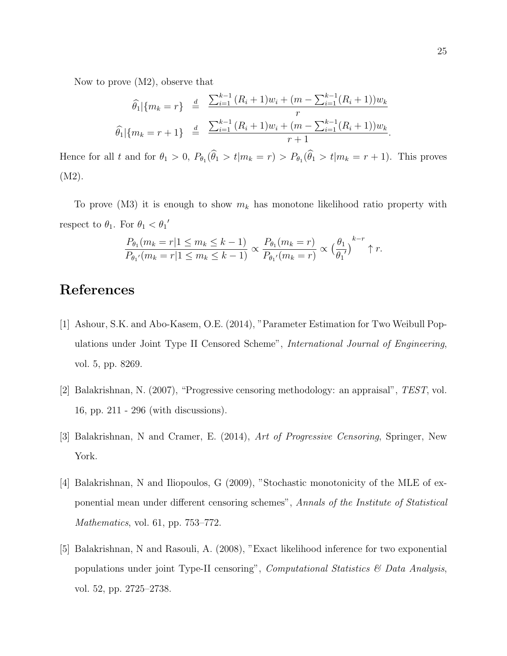Now to prove (M2), observe that

$$
\widehat{\theta}_1 | \{ m_k = r \} \stackrel{d}{=} \frac{\sum_{i=1}^{k-1} (R_i + 1) w_i + (m - \sum_{i=1}^{k-1} (R_i + 1)) w_k}{r}
$$

$$
\widehat{\theta}_1 | \{ m_k = r + 1 \} \stackrel{d}{=} \frac{\sum_{i=1}^{k-1} (R_i + 1) w_i + (m - \sum_{i=1}^{k-1} (R_i + 1)) w_k}{r + 1}
$$

Hence for all t and for  $\theta_1 > 0$ ,  $P_{\theta_1}(\theta_1 > t | m_k = r) > P_{\theta_1}(\theta_1 > t | m_k = r + 1)$ . This proves (M2).

To prove (M3) it is enough to show  $m_k$  has monotone likelihood ratio property with respect to  $\theta_1$ . For  $\theta_1 < \theta_1'$ 

$$
\frac{P_{\theta_1}(m_k=r|1\leq m_k\leq k-1)}{P_{\theta_1'}(m_k=r|1\leq m_k\leq k-1)} \propto \frac{P_{\theta_1}(m_k=r)}{P_{\theta_1'}(m_k=r)} \propto \left(\frac{\theta_1}{\theta_1'}\right)^{k-r} \uparrow r.
$$

# References

- [1] Ashour, S.K. and Abo-Kasem, O.E. (2014), "Parameter Estimation for Two Weibull Populations under Joint Type II Censored Scheme", International Journal of Engineering, vol. 5, pp. 8269.
- [2] Balakrishnan, N. (2007), "Progressive censoring methodology: an appraisal", TEST, vol. 16, pp. 211 - 296 (with discussions).
- [3] Balakrishnan, N and Cramer, E. (2014), Art of Progressive Censoring, Springer, New York.
- [4] Balakrishnan, N and Iliopoulos, G (2009), "Stochastic monotonicity of the MLE of exponential mean under different censoring schemes", Annals of the Institute of Statistical Mathematics, vol. 61, pp. 753–772.
- [5] Balakrishnan, N and Rasouli, A. (2008), "Exact likelihood inference for two exponential populations under joint Type-II censoring", *Computational Statistics & Data Analysis*, vol. 52, pp. 2725–2738.

.